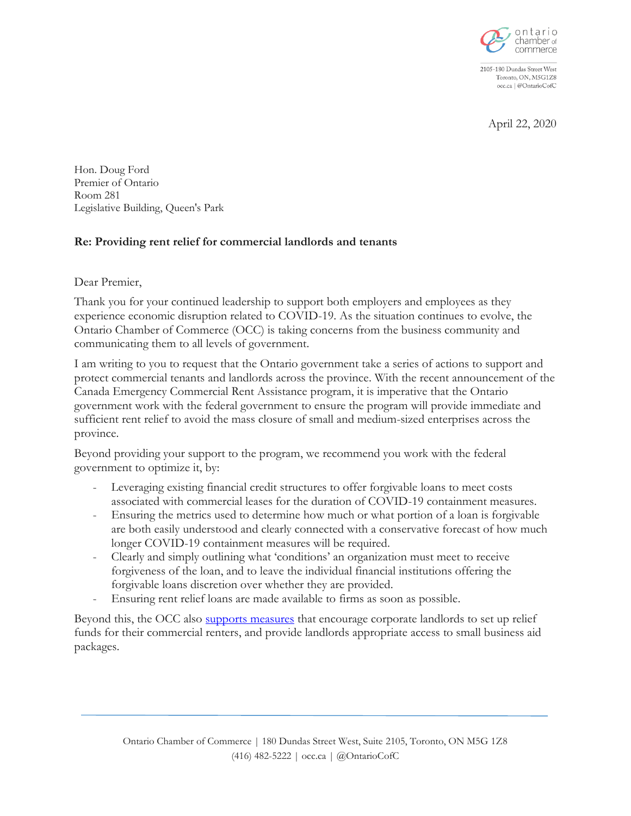

2105-180 Dundas Street West Toronto, ON, M5G1Z8 occ.ca | @OntarioCofC

April 22, 2020

Hon. Doug Ford Premier of Ontario Room 281 Legislative Building, Queen's Park

## **Re: Providing rent relief for commercial landlords and tenants**

Dear Premier,

Thank you for your continued leadership to support both employers and employees as they experience economic disruption related to COVID-19. As the situation continues to evolve, the Ontario Chamber of Commerce (OCC) is taking concerns from the business community and communicating them to all levels of government.

I am writing to you to request that the Ontario government take a series of actions to support and protect commercial tenants and landlords across the province. With the recent announcement of the Canada Emergency Commercial Rent Assistance program, it is imperative that the Ontario government work with the federal government to ensure the program will provide immediate and sufficient rent relief to avoid the mass closure of small and medium-sized enterprises across the province.

Beyond providing your support to the program, we recommend you work with the federal government to optimize it, by:

- Leveraging existing financial credit structures to offer forgivable loans to meet costs associated with commercial leases for the duration of COVID-19 containment measures.
- Ensuring the metrics used to determine how much or what portion of a loan is forgivable are both easily understood and clearly connected with a conservative forecast of how much longer COVID-19 containment measures will be required.
- Clearly and simply outlining what 'conditions' an organization must meet to receive forgiveness of the loan, and to leave the individual financial institutions offering the forgivable loans discretion over whether they are provided.
- Ensuring rent relief loans are made available to firms as soon as possible.

Beyond this, the OCC also [supports measures](https://occ.ca/wp-content/uploads/OCC_Supporting-renters-during-the-COVID-19-pandemic.pdf) that encourage corporate landlords to set up relief funds for their commercial renters, and provide landlords appropriate access to small business aid packages.